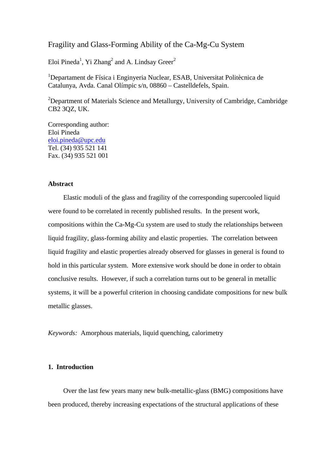# Fragility and Glass-Forming Ability of the Ca-Mg-Cu System

Eloi Pineda<sup>1</sup>, Yi Zhang<sup>2</sup> and A. Lindsay Greer<sup>2</sup>

<sup>1</sup>Departament de Física i Enginyeria Nuclear, ESAB, Universitat Politècnica de Catalunya, Avda. Canal Olímpic s/n, 08860 – Castelldefels, Spain.

<sup>2</sup>Department of Materials Science and Metallurgy, University of Cambridge, Cambridge CB2 3QZ, UK.

Corresponding author: Eloi Pineda eloi.pineda@upc.edu Tel. (34) 935 521 141 Fax. (34) 935 521 001

### **Abstract**

Elastic moduli of the glass and fragility of the corresponding supercooled liquid were found to be correlated in recently published results. In the present work, compositions within the Ca-Mg-Cu system are used to study the relationships between liquid fragility, glass-forming ability and elastic properties. The correlation between liquid fragility and elastic properties already observed for glasses in general is found to hold in this particular system. More extensive work should be done in order to obtain conclusive results. However, if such a correlation turns out to be general in metallic systems, it will be a powerful criterion in choosing candidate compositions for new bulk metallic glasses.

*Keywords:* Amorphous materials, liquid quenching, calorimetry

# **1. Introduction**

Over the last few years many new bulk-metallic-glass (BMG) compositions have been produced, thereby increasing expectations of the structural applications of these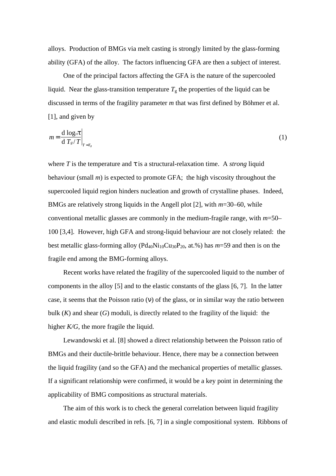alloys. Production of BMGs via melt casting is strongly limited by the glass-forming ability (GFA) of the alloy. The factors influencing GFA are then a subject of interest.

One of the principal factors affecting the GFA is the nature of the supercooled liquid. Near the glass-transition temperature  $T_g$  the properties of the liquid can be discussed in terms of the fragility parameter *m* that was first defined by Böhmer et al. [1], and given by

$$
m = \frac{\mathrm{d}\,\log_{10}t}{\mathrm{d}\,T_s/T}\bigg|_{T=T_s} \tag{1}
$$

where  $T$  is the temperature and  $t$  is a structural-relaxation time. A *strong* liquid behaviour (small *m*) is expected to promote GFA; the high viscosity throughout the supercooled liquid region hinders nucleation and growth of crystalline phases. Indeed, BMGs are relatively strong liquids in the Angell plot [2], with *m*=30–60, while conventional metallic glasses are commonly in the medium-fragile range, with *m*=50– 100 [3,4]. However, high GFA and strong-liquid behaviour are not closely related: the best metallic glass-forming alloy  $(Pd_{40}Ni_{10}Cu_{30}P_{20}$ , at.%) has  $m=59$  and then is on the fragile end among the BMG-forming alloys.

Recent works have related the fragility of the supercooled liquid to the number of components in the alloy [5] and to the elastic constants of the glass [6, 7]. In the latter case, it seems that the Poisson ratio (ν) of the glass, or in similar way the ratio between bulk  $(K)$  and shear  $(G)$  moduli, is directly related to the fragility of the liquid: the higher *K/G*, the more fragile the liquid.

Lewandowski et al. [8] showed a direct relationship between the Poisson ratio of BMGs and their ductile-brittle behaviour. Hence, there may be a connection between the liquid fragility (and so the GFA) and the mechanical properties of metallic glasses. If a significant relationship were confirmed, it would be a key point in determining the applicability of BMG compositions as structural materials.

The aim of this work is to check the general correlation between liquid fragility and elastic moduli described in refs. [6, 7] in a single compositional system. Ribbons of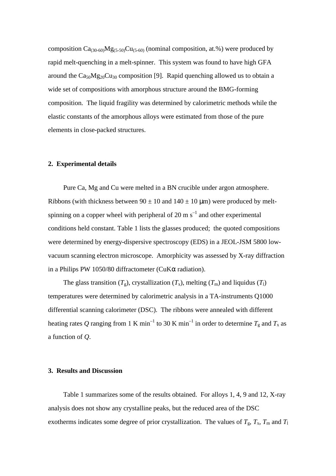composition  $Ca_{(30-60)}Mg_{(5-50)}Cu_{(5-60)}$  (nominal composition, at.%) were produced by rapid melt-quenching in a melt-spinner. This system was found to have high GFA around the  $Ca<sub>50</sub>Mg<sub>20</sub>Cu<sub>30</sub>$  composition [9]. Rapid quenching allowed us to obtain a wide set of compositions with amorphous structure around the BMG-forming composition. The liquid fragility was determined by calorimetric methods while the elastic constants of the amorphous alloys were estimated from those of the pure elements in close-packed structures.

### **2. Experimental details**

Pure Ca, Mg and Cu were melted in a BN crucible under argon atmosphere. Ribbons (with thickness between  $90 \pm 10$  and  $140 \pm 10$  µm) were produced by meltspinning on a copper wheel with peripheral of 20 m  $s^{-1}$  and other experimental conditions held constant. Table 1 lists the glasses produced; the quoted compositions were determined by energy-dispersive spectroscopy (EDS) in a JEOL-JSM 5800 lowvacuum scanning electron microscope. Amorphicity was assessed by X-ray diffraction in a Philips PW 1050/80 diffractometer (CuKα radiation).

The glass transition  $(T_g)$ , crystallization  $(T_x)$ , melting  $(T_m)$  and liquidus  $(T_1)$ temperatures were determined by calorimetric analysis in a TA-instruments Q1000 differential scanning calorimeter (DSC). The ribbons were annealed with different heating rates Q ranging from 1 K min<sup>-1</sup> to 30 K min<sup>-1</sup> in order to determine  $T_{\rm g}$  and  $T_{\rm x}$  as a function of *Q*.

# **3. Results and Discussion**

Table 1 summarizes some of the results obtained. For alloys 1, 4, 9 and 12, X-ray analysis does not show any crystalline peaks, but the reduced area of the DSC exotherms indicates some degree of prior crystallization. The values of  $T_g$ ,  $T_x$ ,  $T_m$  and  $T_l$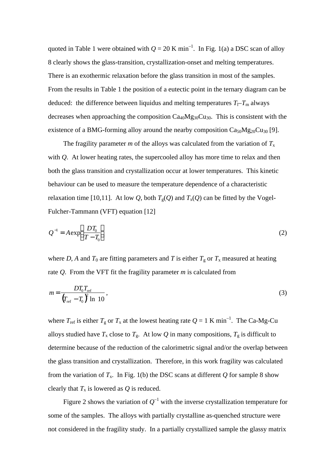quoted in Table 1 were obtained with  $Q = 20$  K min<sup>-1</sup>. In Fig. 1(a) a DSC scan of alloy 8 clearly shows the glass-transition, crystallization-onset and melting temperatures. There is an exothermic relaxation before the glass transition in most of the samples. From the results in Table 1 the position of a eutectic point in the ternary diagram can be deduced: the difference between liquidus and melting temperatures  $T_1 - T_m$  always decreases when approaching the composition  $Ca_{40}Mg_{30}Cu_{30}$ . This is consistent with the existence of a BMG-forming alloy around the nearby composition  $Ca_{50}Mg_{20}Cu_{30}$  [9].

The fragility parameter *m* of the alloys was calculated from the variation of  $T_x$ with *Q*. At lower heating rates, the supercooled alloy has more time to relax and then both the glass transition and crystallization occur at lower temperatures. This kinetic behaviour can be used to measure the temperature dependence of a characteristic relaxation time [10,11]. At low *Q*, both  $T_g(Q)$  and  $T_x(Q)$  can be fitted by the Vogel-Fulcher-Tammann (VFT) equation [12]

$$
Q^{-1} = A \exp\left(\frac{DT_0}{T - T_0}\right) \tag{2}
$$

where *D*, *A* and  $T_0$  are fitting parameters and *T* is either  $T_g$  or  $T_x$  measured at heating rate *Q*. From the VFT fit the fragility parameter *m* is calculated from

$$
m = \frac{DT_0T_{\text{ref}}}{\left(T_{\text{ref}} - T_0\right)^2 \ln 10},\tag{3}
$$

where  $T_{\text{ref}}$  is either  $T_{\text{g}}$  or  $T_{\text{x}}$  at the lowest heating rate  $Q = 1$  K min<sup>-1</sup>. The Ca-Mg-Cu alloys studied have  $T_x$  close to  $T_g$ . At low Q in many compositions,  $T_g$  is difficult to determine because of the reduction of the calorimetric signal and/or the overlap between the glass transition and crystallization. Therefore, in this work fragility was calculated from the variation of  $T_x$ . In Fig. 1(b) the DSC scans at different *Q* for sample 8 show clearly that  $T_x$  is lowered as  $Q$  is reduced.

Figure 2 shows the variation of  $Q^{-1}$  with the inverse crystallization temperature for some of the samples. The alloys with partially crystalline as-quenched structure were not considered in the fragility study. In a partially crystallized sample the glassy matrix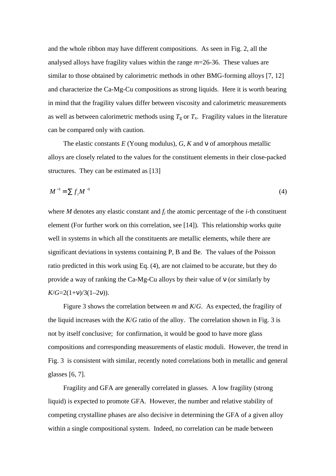and the whole ribbon may have different compositions. As seen in Fig. 2, all the analysed alloys have fragility values within the range *m*=26-36. These values are similar to those obtained by calorimetric methods in other BMG-forming alloys [7, 12] and characterize the Ca-Mg-Cu compositions as strong liquids. Here it is worth bearing in mind that the fragility values differ between viscosity and calorimetric measurements as well as between calorimetric methods using  $T_g$  or  $T_x$ . Fragility values in the literature can be compared only with caution.

The elastic constants *E* (Young modulus), *G*, *K* and ν of amorphous metallic alloys are closely related to the values for the constituent elements in their close-packed structures. They can be estimated as [13]

$$
M^{-1} = \sum f_i M^{-1} \tag{4}
$$

where  $M$  denotes any elastic constant and  $f_i$  the atomic percentage of the  $i$ -th constituent element (For further work on this correlation, see [14]). This relationship works quite well in systems in which all the constituents are metallic elements, while there are significant deviations in systems containing P, B and Be. The values of the Poisson ratio predicted in this work using Eq. (4), are not claimed to be accurate, but they do provide a way of ranking the Ca-Mg-Cu alloys by their value of ν (or similarly by  $K/G=2(1+v)/3(1-2v)$ ).

Figure 3 shows the correlation between *m* and *K*/*G*. As expected, the fragility of the liquid increases with the *K*/*G* ratio of the alloy. The correlation shown in Fig. 3 is not by itself conclusive; for confirmation, it would be good to have more glass compositions and corresponding measurements of elastic moduli. However, the trend in Fig. 3 is consistent with similar, recently noted correlations both in metallic and general glasses [6, 7].

Fragility and GFA are generally correlated in glasses. A low fragility (strong liquid) is expected to promote GFA. However, the number and relative stability of competing crystalline phases are also decisive in determining the GFA of a given alloy within a single compositional system. Indeed, no correlation can be made between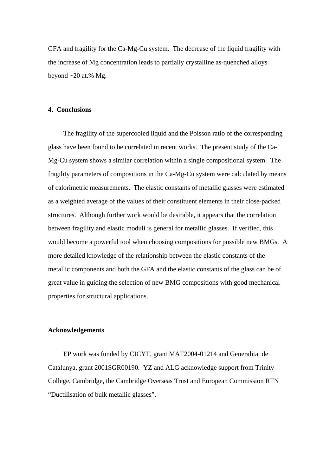GFA and fragility for the Ca-Mg-Cu system. The decrease of the liquid fragility with the increase of Mg concentration leads to partially crystalline as-quenched alloys beyond  $\sim$  20 at.% Mg.

# **4. Conclusions**

The fragility of the supercooled liquid and the Poisson ratio of the corresponding glass have been found to be correlated in recent works. The present study of the Ca-Mg-Cu system shows a similar correlation within a single compositional system. The fragility parameters of compositions in the Ca-Mg-Cu system were calculated by means of calorimetric measurements. The elastic constants of metallic glasses were estimated as a weighted average of the values of their constituent elements in their close-packed structures. Although further work would be desirable, it appears that the correlation between fragility and elastic moduli is general for metallic glasses. If verified, this would become a powerful tool when choosing compositions for possible new BMGs. A more detailed knowledge of the relationship between the elastic constants of the metallic components and both the GFA and the elastic constants of the glass can be of great value in guiding the selection of new BMG compositions with good mechanical properties for structural applications.

### **Acknowledgements**

EP work was funded by CICYT, grant MAT2004-01214 and Generalitat de Catalunya, grant 2001SGR00190. YZ and ALG acknowledge support from Trinity College, Cambridge, the Cambridge Overseas Trust and European Commission RTN "Ductilisation of bulk metallic glasses".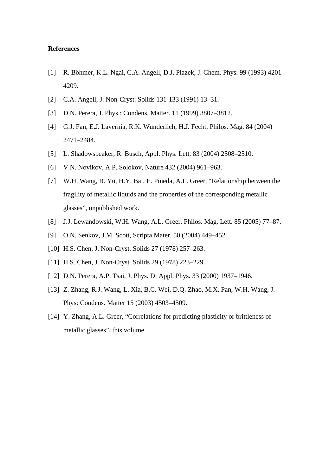# **References**

- [1] R. Böhmer, K.L. Ngai, C.A. Angell, D.J. Plazek, J. Chem. Phys. 99 (1993) 4201– 4209.
- [2] C.A. Angell, J. Non-Cryst. Solids 131-133 (1991) 13–31.
- [3] D.N. Perera, J. Phys.: Condens. Matter. 11 (1999) 3807–3812.
- [4] G.J. Fan, E.J. Lavernia, R.K. Wunderlich, H.J. Fecht, Philos. Mag. 84 (2004) 2471–2484.
- [5] L. Shadowspeaker, R. Busch, Appl. Phys. Lett. 83 (2004) 2508–2510.
- [6] V.N. Novikov, A.P. Solokov, Nature 432 (2004) 961–963.
- [7] W.H. Wang, B. Yu, H.Y. Bai, E. Pineda, A.L. Greer, "Relationship between the fragility of metallic liquids and the properties of the corresponding metallic glasses", unpublished work.
- [8] J.J. Lewandowski, W.H. Wang, A.L. Greer, Philos. Mag. Lett. 85 (2005) 77–87.
- [9] O.N. Senkov, J.M. Scott, Scripta Mater. 50 (2004) 449–452.
- [10] H.S. Chen, J. Non-Cryst. Solids 27 (1978) 257–263.
- [11] H.S. Chen, J. Non-Cryst. Solids 29 (1978) 223-229.
- [12] D.N. Perera, A.P. Tsai, J. Phys. D: Appl. Phys. 33 (2000) 1937–1946.
- [13] Z. Zhang, R.J. Wang, L. Xia, B.C. Wei, D.Q. Zhao, M.X. Pan, W.H. Wang, J. Phys: Condens. Matter 15 (2003) 4503–4509.
- [14] Y. Zhang, A.L. Greer, "Correlations for predicting plasticity or brittleness of metallic glasses", this volume.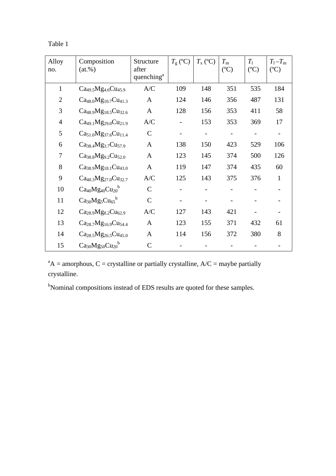| япіє |  |
|------|--|
|------|--|

| Alloy<br>no.   | Composition<br>$(at.\%)$                                 | Structure<br>after<br>quenching <sup>a</sup> | $T_{\rm g}$ (°C) | $T_{\rm x}$ (°C) | $T_{\rm m}$<br>$(C^{\circ}C)$ | $T_1$<br>$(C^{\circ}C)$ | $T_1 - T_m$<br>$(C^{\circ}C)$ |
|----------------|----------------------------------------------------------|----------------------------------------------|------------------|------------------|-------------------------------|-------------------------|-------------------------------|
| $\mathbf{1}$   | $Ca49.5Mg4.6Cu45.9$                                      | A/C                                          | 109              | 148              | 351                           | 535                     | 184                           |
| $\overline{2}$ | $Ca48.0Mg10.7Cu41.3$                                     | $\mathbf{A}$                                 | 124              | 146              | 356                           | 487                     | 131                           |
| 3              | $Ca48.9Mg18.5Cu32.6$                                     | $\mathbf{A}$                                 | 128              | 156              | 353                           | 411                     | 58                            |
| $\overline{4}$ | $Ca49.1Mg29.0Cu21.9$                                     | A/C                                          |                  | 153              | 353                           | 369                     | 17                            |
| 5              | $Ca51.0Mg37.6Cu11.4$                                     | $\mathsf{C}$                                 |                  |                  |                               |                         |                               |
| 6              | $Ca38.4Mg3.7Cu57.9$                                      | $\mathbf{A}$                                 | 138              | 150              | 423                           | 529                     | 106                           |
| 7              | $Ca38.8Mg9.2Cu52.0$                                      | $\mathbf{A}$                                 | 123              | 145              | 374                           | 500                     | 126                           |
| 8              | $Ca38.9Mg18.1Cu43.0$                                     | $\mathbf{A}$                                 | 119              | 147              | 374                           | 435                     | 60                            |
| 9              | Ca <sub>40.3</sub> Mg <sub>27.0</sub> Cu <sub>32.7</sub> | A/C                                          | 125              | 143              | 375                           | 376                     | 1                             |
| 10             | $Ca_{40}Mg_{40}Cu_{20}^{b}$                              | $\mathcal{C}$                                |                  |                  |                               |                         |                               |
| 11             | $Ca_{30}Mg_5Cu_{65}^b$                                   | $\mathcal{C}$                                |                  |                  |                               |                         |                               |
| 12             | $Ca28.9Mg8.2Cu62.9$                                      | A/C                                          | 127              | 143              | 421                           |                         |                               |
| 13             | $Ca28.7Mg16.9Cu54.4$                                     | A                                            | 123              | 155              | 371                           | 432                     | 61                            |
| 14             | $Ca28.5Mg26.5Cu45.0$                                     | $\mathbf{A}$                                 | 114              | 156              | 372                           | 380                     | 8                             |
| 15             | $Ca_{30}Mg_{50}Cu_{20}^{b}$                              | $\mathcal{C}$                                |                  |                  |                               |                         |                               |

 $A^A$  = amorphous, C = crystalline or partially crystalline, A/C = maybe partially crystalline.

<sup>b</sup>Nominal compositions instead of EDS results are quoted for these samples.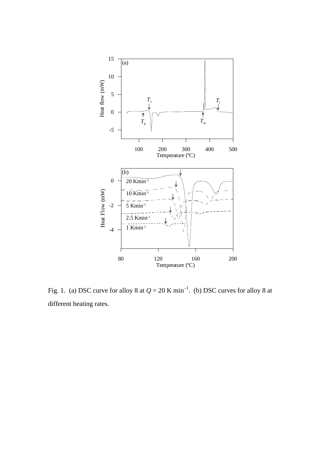

Fig. 1. (a) DSC curve for alloy 8 at  $Q = 20$  K min<sup>-1</sup>. (b) DSC curves for alloy 8 at different heating rates.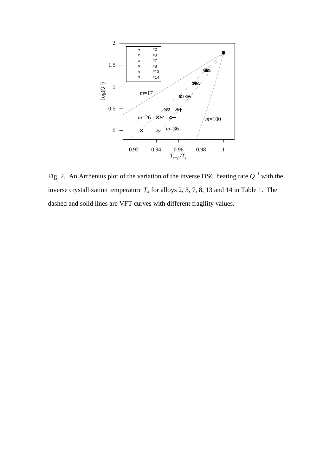

Fig. 2. An Arrhenius plot of the variation of the inverse DSC heating rate  $Q^{-1}$  with the inverse crystallization temperature  $T_x$  for alloys 2, 3, 7, 8, 13 and 14 in Table 1. The dashed and solid lines are VFT curves with different fragility values.